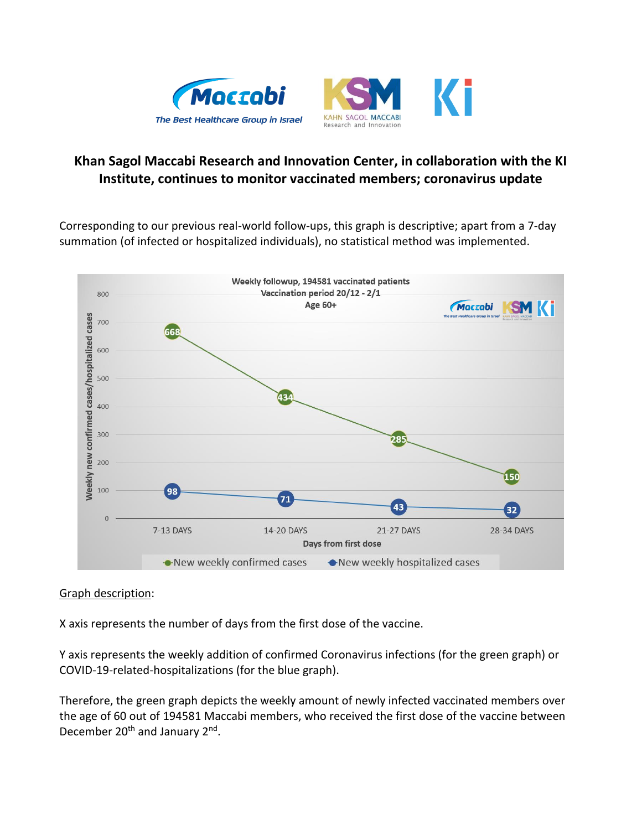



## **Khan Sagol Maccabi Research and Innovation Center, in collaboration with the KI Institute, continues to monitor vaccinated members; coronavirus update**

Corresponding to our previous real-world follow-ups, this graph is descriptive; apart from a 7-day summation (of infected or hospitalized individuals), no statistical method was implemented.



## Graph description:

X axis represents the number of days from the first dose of the vaccine.

Y axis represents the weekly addition of confirmed Coronavirus infections (for the green graph) or COVID-19-related-hospitalizations (for the blue graph).

Therefore, the green graph depicts the weekly amount of newly infected vaccinated members over the age of 60 out of 194581 Maccabi members, who received the first dose of the vaccine between December 20<sup>th</sup> and January 2<sup>nd</sup>.